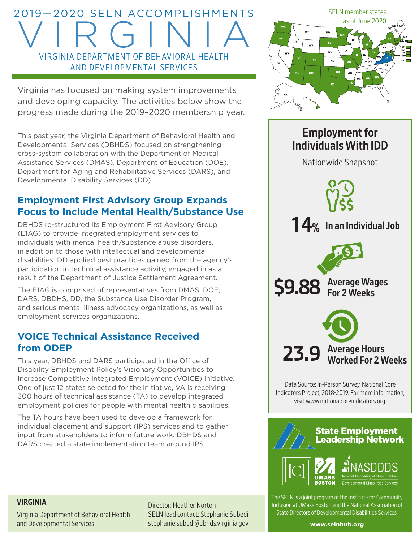# 2019—2020 SELN ACCOMPLISHMENTS VIRGINIA VIRGINIA DEPARTMENT OF BEHAVIORAL HEALTH AND DEVELOPMENTAL SERVICES

Virginia has focused on making system improvements and developing capacity. The activities below show the progress made during the 2019–2020 membership year.

This past year, the Virginia Department of Behavioral Health and Developmental Services (DBHDS) focused on strengthening cross-system collaboration with the Department of Medical Assistance Services (DMAS), Department of Education (DOE), Department for Aging and Rehabilitative Services (DARS), and Developmental Disability Services (DD).

# **Employment First Advisory Group Expands Focus to Include Mental Health/Substance Use**

DBHDS re-structured its Employment First Advisory Group (E1AG) to provide integrated employment services to individuals with mental health/substance abuse disorders, in addition to those with intellectual and developmental disabilities. DD applied best practices gained from the agency's participation in technical assistance activity, engaged in as a result of the Department of Justice Settlement Agreement.

The E1AG is comprised of representatives from DMAS, DOE, DARS, DBDHS, DD, the Substance Use Disorder Program, and serious mental illness advocacy organizations, as well as employment services organizations.

# **VOICE Technical Assistance Received from ODEP**

This year, DBHDS and DARS participated in the Office of Disability Employment Policy's Visionary Opportunities to Increase Competitive Integrated Employment (VOICE) initiative. One of just 12 states selected for the initiative, VA is receiving 300 hours of technical assistance (TA) to develop integrated employment policies for people with mental health disabilities.

The TA hours have been used to develop a framework for individual placement and support (IPS) services and to gather input from stakeholders to inform future work. DBHDS and DARS created a state implementation team around IPS.



# Employment for Individuals With IDD Nationwide Snapshot 23.9 Average Hours<br>Worked For 2 Weeks \$9.88 Average Wages **14%** In an Individual Job

Data Source: In-Person Survey, National Core Indicators Project, 2018-2019. For more information, visit [www.nationalcoreindicators.org](http://www.nationalcoreindicators.org).



The SELN is a joint program of the Institute for Community Inclusion at UMass Boston and the National Association of State Directors of Developmental Disabilities Services.

VIRGINIA

[Virginia Department of Behavioral Health](http://www.dbhds.virginia.gov/)  [and Developmental Services](http://www.dbhds.virginia.gov/)

Director: Heather Norton SELN lead contact: Stephanie Subedi stephanie.subedi@dbhds.virginia.gov

**[www.selnhub.org](http://www.selnhub.org)**